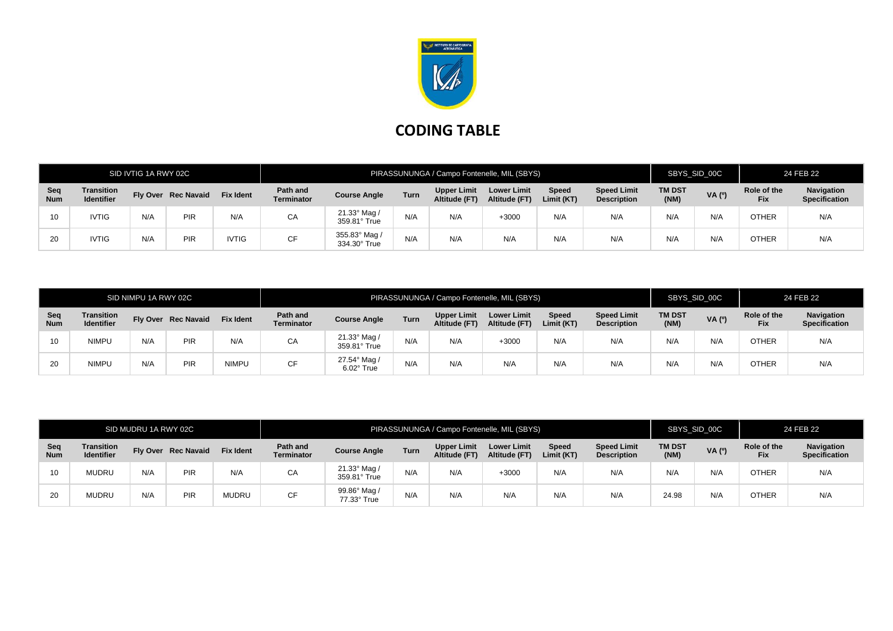

## **CODING TABLE**

|                   | SID IVTIG 1A RWY 02C                   |     |                     |                  | PIRASSUNUNGA / Campo Fontenelle, MIL (SBYS) |                              |      |                                     |                                     |                     |                                          | SBYS_SID_00C          |        | 24 FEB 22                 |                                    |
|-------------------|----------------------------------------|-----|---------------------|------------------|---------------------------------------------|------------------------------|------|-------------------------------------|-------------------------------------|---------------------|------------------------------------------|-----------------------|--------|---------------------------|------------------------------------|
| Seq<br><b>Num</b> | <b>Transition</b><br><b>Identifier</b> |     | Fly Over Rec Navaid | <b>Fix Ident</b> | Path and<br><b>Terminator</b>               | <b>Course Angle</b>          | Turn | <b>Upper Limit</b><br>Altitude (FT) | <b>Lower Limit</b><br>Altitude (FT) | Speed<br>Limit (KT) | <b>Speed Limit</b><br><b>Description</b> | <b>TM DST</b><br>(NM) | VA (0) | Role of the<br><b>Fix</b> | Navigation<br><b>Specification</b> |
| 10                | <b>IVTIG</b>                           | N/A | PIR                 | N/A              | СA                                          | 21.33° Mag /<br>359.81° True | N/A  | N/A                                 | +3000                               | N/A                 | N/A                                      | N/A                   | N/A    | <b>OTHER</b>              | N/A                                |
| 20                | <b>IVTIG</b>                           | N/A | PIR                 | <b>IVTIG</b>     | CF                                          | 355.83° Mag<br>334.30° True  | N/A  | N/A                                 | N/A                                 | N/A                 | N/A                                      | N/A                   | N/A    | <b>OTHER</b>              | N/A                                |

| SID NIMPU 1A RWY 02C |                                 |     |                     |                  | PIRASSUNUNGA / Campo Fontenelle, MIL (SBYS) |                                 |      |                                     |                                     |                            |                                          | SBYS SID 00C          |       | 24 FEB 22                 |                                    |
|----------------------|---------------------------------|-----|---------------------|------------------|---------------------------------------------|---------------------------------|------|-------------------------------------|-------------------------------------|----------------------------|------------------------------------------|-----------------------|-------|---------------------------|------------------------------------|
| Seq<br><b>Num</b>    | Transition<br><b>Identifier</b> |     | Fly Over Rec Navaid | <b>Fix Ident</b> | Path and<br><b>Terminator</b>               | <b>Course Angle</b>             | Turn | <b>Upper Limit</b><br>Altitude (FT) | <b>Lower Limit</b><br>Altitude (FT) | <b>Speed</b><br>Limit (KT) | <b>Speed Limit</b><br><b>Description</b> | <b>TM DST</b><br>(NM) | VA(°) | Role of the<br><b>Fix</b> | Navigation<br><b>Specification</b> |
| 10                   | <b>NIMPU</b>                    | N/A | PIR                 | N/A              | CA                                          | 21.33° Mag /<br>359.81° True    | N/A  | N/A                                 | $+3000$                             | N/A                        | N/A                                      | N/A                   | N/A   | OTHER                     | N/A                                |
| 20                   | <b>NIMPU</b>                    | N/A | PIR                 | <b>NIMPU</b>     | CF                                          | 27.54° Mag<br>$6.02^\circ$ True | N/A  | N/A                                 | N/A                                 | N/A                        | N/A                                      | N/A                   | N/A   | OTHER                     | N/A                                |

| SID MUDRU 1A RWY 02C |                                        |     |                     |                  | PIRASSUNUNGA / Campo Fontenelle, MIL (SBYS) |                                     |             |                                     |                                     |                            |                                          | SBYS_SID_00C          |        | 24 FEB 22                 |                                           |
|----------------------|----------------------------------------|-----|---------------------|------------------|---------------------------------------------|-------------------------------------|-------------|-------------------------------------|-------------------------------------|----------------------------|------------------------------------------|-----------------------|--------|---------------------------|-------------------------------------------|
| Seq<br><b>Num</b>    | <b>Transition</b><br><b>Identifier</b> |     | Fly Over Rec Navaid | <b>Fix Ident</b> | Path and<br><b>Terminator</b>               | <b>Course Angle</b>                 | <b>Turn</b> | <b>Upper Limit</b><br>Altitude (FT) | <b>Lower Limit</b><br>Altitude (FT) | <b>Speed</b><br>Limit (KT) | <b>Speed Limit</b><br><b>Description</b> | <b>TM DST</b><br>(NM) | VA (0) | Role of the<br><b>Fix</b> | <b>Navigation</b><br><b>Specification</b> |
| 10                   | <b>MUDRU</b>                           | N/A | <b>PIR</b>          | N/A              | CA                                          | $21.33^\circ$ Mag /<br>359.81° True | N/A         | N/A                                 | +3000                               | N/A                        | N/A                                      | N/A                   | N/A    | <b>OTHER</b>              | N/A                                       |
| 20                   | <b>MUDRU</b>                           | N/A | <b>PIR</b>          | <b>MUDRU</b>     | <b>CF</b>                                   | 99.86° Mag /<br>77.33° True         | N/A         | N/A                                 | N/A                                 | N/A                        | N/A                                      | 24.98                 | N/A    | <b>OTHER</b>              | N/A                                       |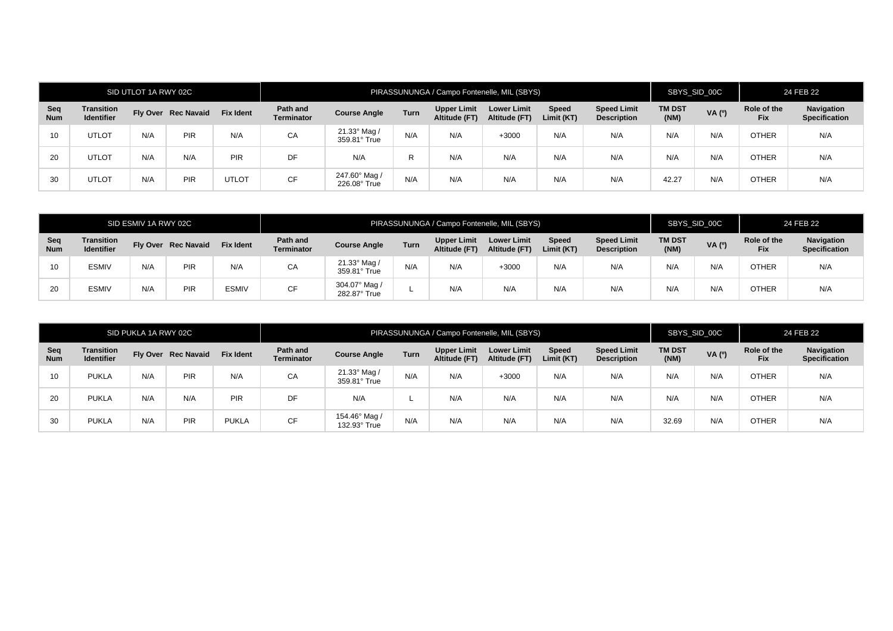|                   |                                 | SID UTLOT 1A RWY 02C |                     |                  | PIRASSUNUNGA / Campo Fontenelle, MIL (SBYS) |                               |      |                                     |                                     |                            |                                          | SBYS_SID_00C          |        | 24 FEB 22                 |                                    |
|-------------------|---------------------------------|----------------------|---------------------|------------------|---------------------------------------------|-------------------------------|------|-------------------------------------|-------------------------------------|----------------------------|------------------------------------------|-----------------------|--------|---------------------------|------------------------------------|
| Seq<br><b>Num</b> | Transition<br><b>Identifier</b> |                      | Fly Over Rec Navaid | <b>Fix Ident</b> | Path and<br><b>Terminator</b>               | <b>Course Angle</b>           | Turn | <b>Upper Limit</b><br>Altitude (FT) | <b>Lower Limit</b><br>Altitude (FT) | <b>Speed</b><br>Limit (KT) | <b>Speed Limit</b><br><b>Description</b> | <b>TM DST</b><br>(NM) | VA (0) | Role of the<br><b>Fix</b> | Navigation<br><b>Specification</b> |
| 10                | <b>UTLOT</b>                    | N/A                  | PIR                 | N/A              | CA                                          | 21.33° Mag /<br>359.81° True  | N/A  | N/A                                 | $+3000$                             | N/A                        | N/A                                      | N/A                   | N/A    | <b>OTHER</b>              | N/A                                |
| 20                | <b>UTLOT</b>                    | N/A                  | N/A                 | <b>PIR</b>       | DF                                          | N/A                           | R    | N/A                                 | N/A                                 | N/A                        | N/A                                      | N/A                   | N/A    | <b>OTHER</b>              | N/A                                |
| 30                | <b>UTLOT</b>                    | N/A                  | PIR                 | <b>UTLOT</b>     | <b>CF</b>                                   | 247.60° Mag /<br>226.08° True | N/A  | N/A                                 | N/A                                 | N/A                        | N/A                                      | 42.27                 | N/A    | <b>OTHER</b>              | N/A                                |

| SID ESMIV 1A RWY 02C |                                        |     |                     |                  | PIRASSUNUNGA / Campo Fontenelle, MIL (SBYS) |                               |      |                                     |                                     |                            |                                          | SBYS_SID_00C          |       | 24 FEB 22                 |                                    |
|----------------------|----------------------------------------|-----|---------------------|------------------|---------------------------------------------|-------------------------------|------|-------------------------------------|-------------------------------------|----------------------------|------------------------------------------|-----------------------|-------|---------------------------|------------------------------------|
| Seq<br><b>Num</b>    | <b>Transition</b><br><b>Identifier</b> |     | Fly Over Rec Navaid | <b>Fix Ident</b> | Path and<br><b>Terminator</b>               | <b>Course Angle</b>           | Turn | <b>Upper Limit</b><br>Altitude (FT) | <b>Lower Limit</b><br>Altitude (FT) | <b>Speed</b><br>Limit (KT) | <b>Speed Limit</b><br><b>Description</b> | <b>TM DST</b><br>(NM) | VA(°) | Role of the<br><b>Fix</b> | Navigation<br><b>Specification</b> |
| 10                   | <b>ESMIV</b>                           | N/A | PIR                 | N/A              | CA                                          | 21.33° Mag /<br>359.81° True  | N/A  | N/A                                 | +3000                               | N/A                        | N/A                                      | N/A                   | N/A   | <b>OTHER</b>              | N/A                                |
| 20                   | <b>ESMIV</b>                           | N/A | PIR                 | <b>ESMIV</b>     | <b>CF</b>                                   | 304.07° Mag /<br>282.87° True |      | N/A                                 | N/A                                 | N/A                        | N/A                                      | N/A                   | N/A   | OTHER                     | N/A                                |

|                   |                                        | SID PUKLA 1A RWY 02C |                     |                  | PIRASSUNUNGA / Campo Fontenelle, MIL (SBYS) |                                     |      |                                     |                                     |                            |                                          |                       | SBYS_SID_00C |                           | 24 FEB 22                          |  |
|-------------------|----------------------------------------|----------------------|---------------------|------------------|---------------------------------------------|-------------------------------------|------|-------------------------------------|-------------------------------------|----------------------------|------------------------------------------|-----------------------|--------------|---------------------------|------------------------------------|--|
| Seq<br><b>Num</b> | <b>Transition</b><br><b>Identifier</b> |                      | Fly Over Rec Navaid | <b>Fix Ident</b> | Path and<br><b>Terminator</b>               | <b>Course Angle</b>                 | Turn | <b>Upper Limit</b><br>Altitude (FT) | <b>Lower Limit</b><br>Altitude (FT) | <b>Speed</b><br>Limit (KT) | <b>Speed Limit</b><br><b>Description</b> | <b>TM DST</b><br>(NM) | VA (0)       | Role of the<br><b>Fix</b> | Navigation<br><b>Specification</b> |  |
| 10 <sup>°</sup>   | <b>PUKLA</b>                           | N/A                  | PIR                 | N/A              | CA                                          | $21.33^\circ$ Mag /<br>359.81° True | N/A  | N/A                                 | $+3000$                             | N/A                        | N/A                                      | N/A                   | N/A          | <b>OTHER</b>              | N/A                                |  |
| 20                | <b>PUKLA</b>                           | N/A                  | N/A                 | PIR              | DF                                          | N/A                                 |      | N/A                                 | N/A                                 | N/A                        | N/A                                      | N/A                   | N/A          | <b>OTHER</b>              | N/A                                |  |
| 30                | <b>PUKLA</b>                           | N/A                  | PIR                 | <b>PUKLA</b>     | CF                                          | 154.46° Mag /<br>132.93° True       | N/A  | N/A                                 | N/A                                 | N/A                        | N/A                                      | 32.69                 | N/A          | <b>OTHER</b>              | N/A                                |  |